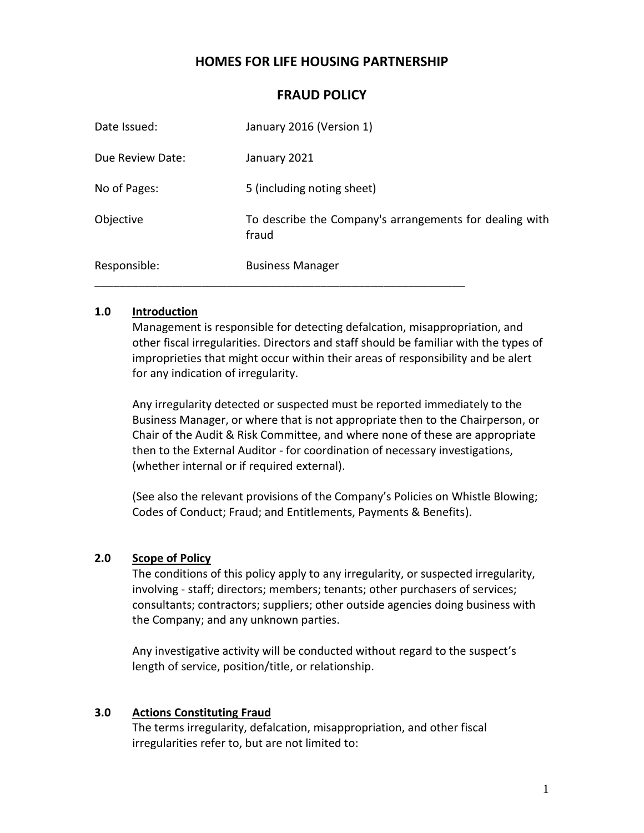# **HOMES FOR LIFE HOUSING PARTNERSHIP**

| Responsible:     | <b>Business Manager</b>                                          |
|------------------|------------------------------------------------------------------|
| Objective        | To describe the Company's arrangements for dealing with<br>fraud |
| No of Pages:     | 5 (including noting sheet)                                       |
| Due Review Date: | January 2021                                                     |
| Date Issued:     | January 2016 (Version 1)                                         |

### **FRAUD POLICY**

#### **1.0 Introduction**

Management is responsible for detecting defalcation, misappropriation, and other fiscal irregularities. Directors and staff should be familiar with the types of improprieties that might occur within their areas of responsibility and be alert for any indication of irregularity.

Any irregularity detected or suspected must be reported immediately to the Business Manager, or where that is not appropriate then to the Chairperson, or Chair of the Audit & Risk Committee, and where none of these are appropriate then to the External Auditor - for coordination of necessary investigations, (whether internal or if required external).

(See also the relevant provisions of the Company's Policies on Whistle Blowing; Codes of Conduct; Fraud; and Entitlements, Payments & Benefits).

#### **2.0 Scope of Policy**

The conditions of this policy apply to any irregularity, or suspected irregularity, involving - staff; directors; members; tenants; other purchasers of services; consultants; contractors; suppliers; other outside agencies doing business with the Company; and any unknown parties.

Any investigative activity will be conducted without regard to the suspect's length of service, position/title, or relationship.

#### **3.0 Actions Constituting Fraud**

The terms irregularity, defalcation, misappropriation, and other fiscal irregularities refer to, but are not limited to: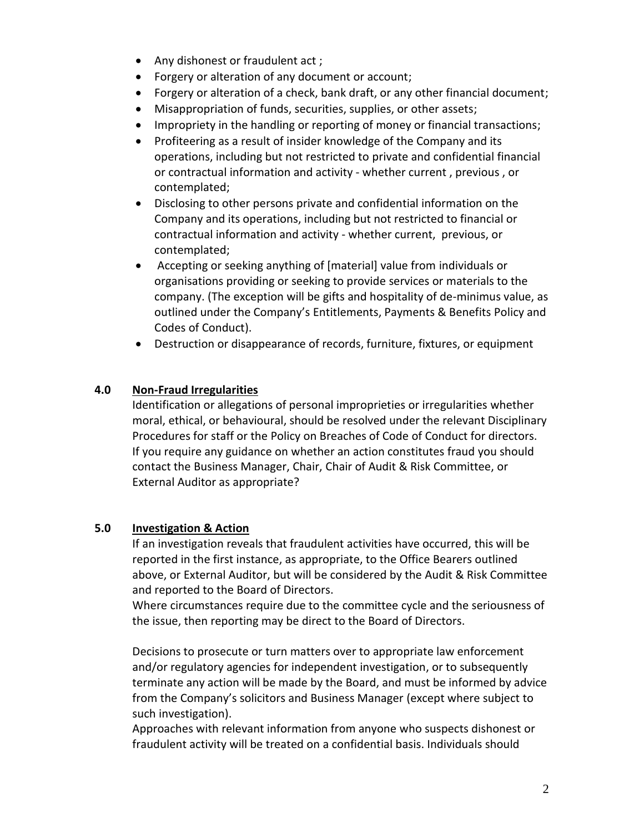- Any dishonest or fraudulent act ;
- Forgery or alteration of any document or account;
- Forgery or alteration of a check, bank draft, or any other financial document;
- Misappropriation of funds, securities, supplies, or other assets;
- Impropriety in the handling or reporting of money or financial transactions;
- Profiteering as a result of insider knowledge of the Company and its operations, including but not restricted to private and confidential financial or contractual information and activity - whether current , previous , or contemplated;
- Disclosing to other persons private and confidential information on the Company and its operations, including but not restricted to financial or contractual information and activity - whether current, previous, or contemplated;
- Accepting or seeking anything of [material] value from individuals or organisations providing or seeking to provide services or materials to the company. (The exception will be gifts and hospitality of de-minimus value, as outlined under the Company's Entitlements, Payments & Benefits Policy and Codes of Conduct).
- Destruction or disappearance of records, furniture, fixtures, or equipment

## **4.0 Non-Fraud Irregularities**

Identification or allegations of personal improprieties or irregularities whether moral, ethical, or behavioural, should be resolved under the relevant Disciplinary Procedures for staff or the Policy on Breaches of Code of Conduct for directors. If you require any guidance on whether an action constitutes fraud you should contact the Business Manager, Chair, Chair of Audit & Risk Committee, or External Auditor as appropriate?

### **5.0 Investigation & Action**

If an investigation reveals that fraudulent activities have occurred, this will be reported in the first instance, as appropriate, to the Office Bearers outlined above, or External Auditor, but will be considered by the Audit & Risk Committee and reported to the Board of Directors.

Where circumstances require due to the committee cycle and the seriousness of the issue, then reporting may be direct to the Board of Directors.

Decisions to prosecute or turn matters over to appropriate law enforcement and/or regulatory agencies for independent investigation, or to subsequently terminate any action will be made by the Board, and must be informed by advice from the Company's solicitors and Business Manager (except where subject to such investigation).

Approaches with relevant information from anyone who suspects dishonest or fraudulent activity will be treated on a confidential basis. Individuals should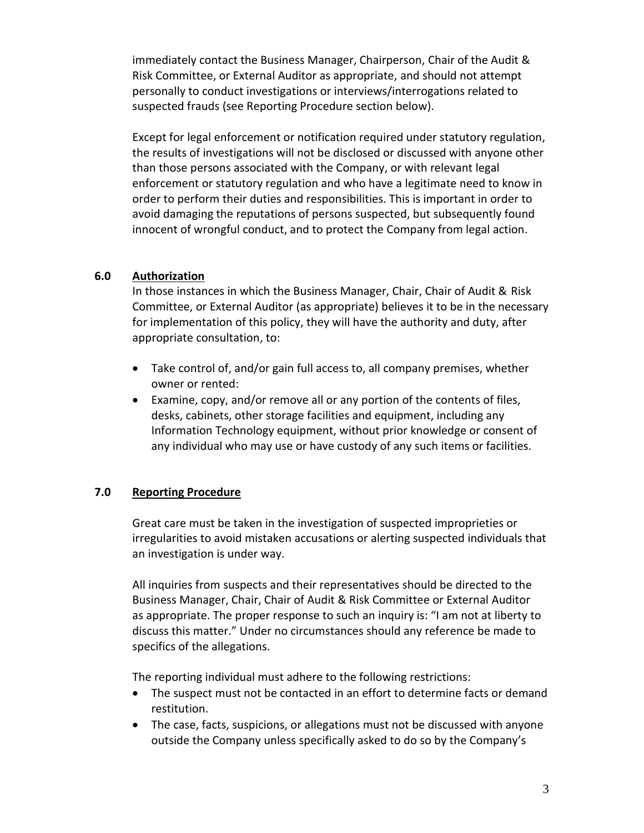immediately contact the Business Manager, Chairperson, Chair of the Audit & Risk Committee, or External Auditor as appropriate, and should not attempt personally to conduct investigations or interviews/interrogations related to suspected frauds (see Reporting Procedure section below).

Except for legal enforcement or notification required under statutory regulation, the results of investigations will not be disclosed or discussed with anyone other than those persons associated with the Company, or with relevant legal enforcement or statutory regulation and who have a legitimate need to know in order to perform their duties and responsibilities. This is important in order to avoid damaging the reputations of persons suspected, but subsequently found innocent of wrongful conduct, and to protect the Company from legal action.

### **6.0 Authorization**

In those instances in which the Business Manager, Chair, Chair of Audit & Risk Committee, or External Auditor (as appropriate) believes it to be in the necessary for implementation of this policy, they will have the authority and duty, after appropriate consultation, to:

- Take control of, and/or gain full access to, all company premises, whether owner or rented:
- Examine, copy, and/or remove all or any portion of the contents of files, desks, cabinets, other storage facilities and equipment, including any Information Technology equipment, without prior knowledge or consent of any individual who may use or have custody of any such items or facilities.

# **7.0 Reporting Procedure**

Great care must be taken in the investigation of suspected improprieties or irregularities to avoid mistaken accusations or alerting suspected individuals that an investigation is under way.

All inquiries from suspects and their representatives should be directed to the Business Manager, Chair, Chair of Audit & Risk Committee or External Auditor as appropriate. The proper response to such an inquiry is: "I am not at liberty to discuss this matter." Under no circumstances should any reference be made to specifics of the allegations.

The reporting individual must adhere to the following restrictions:

- The suspect must not be contacted in an effort to determine facts or demand restitution.
- The case, facts, suspicions, or allegations must not be discussed with anyone outside the Company unless specifically asked to do so by the Company's